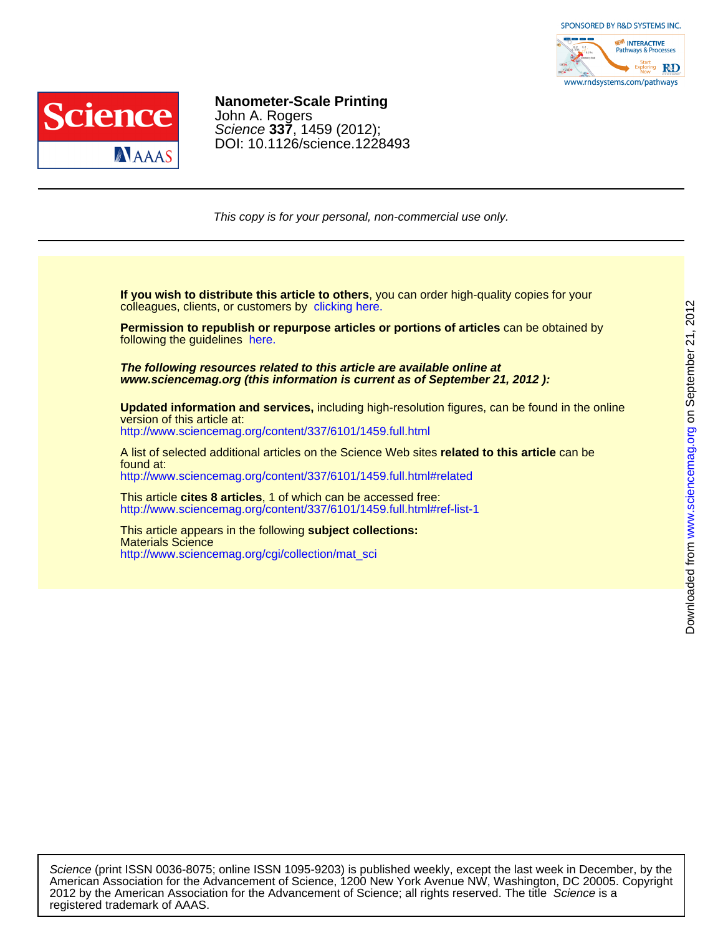



## DOI: 10.1126/science.1228493 Science **337**, 1459 (2012); John A. Rogers **Nanometer-Scale Printing**

This copy is for your personal, non-commercial use only.

colleagues, clients, or customers by [clicking here.](http://www.sciencemag.org/about/permissions.dtl) **If you wish to distribute this article to others**, you can order high-quality copies for your

following the guidelines [here.](http://www.sciencemag.org/about/permissions.dtl) **Permission to republish or repurpose articles or portions of articles** can be obtained by

**www.sciencemag.org (this information is current as of September 21, 2012 ): The following resources related to this article are available online at**

<http://www.sciencemag.org/content/337/6101/1459.full.html> version of this article at: **Updated information and services,** including high-resolution figures, can be found in the online

<http://www.sciencemag.org/content/337/6101/1459.full.html#related> found at: A list of selected additional articles on the Science Web sites **related to this article** can be

<http://www.sciencemag.org/content/337/6101/1459.full.html#ref-list-1> This article **cites 8 articles**, 1 of which can be accessed free:

[http://www.sciencemag.org/cgi/collection/mat\\_sci](http://www.sciencemag.org/cgi/collection/mat_sci) Materials Science This article appears in the following **subject collections:**

registered trademark of AAAS. 2012 by the American Association for the Advancement of Science; all rights reserved. The title Science is a American Association for the Advancement of Science, 1200 New York Avenue NW, Washington, DC 20005. Copyright Science (print ISSN 0036-8075; online ISSN 1095-9203) is published weekly, except the last week in December, by the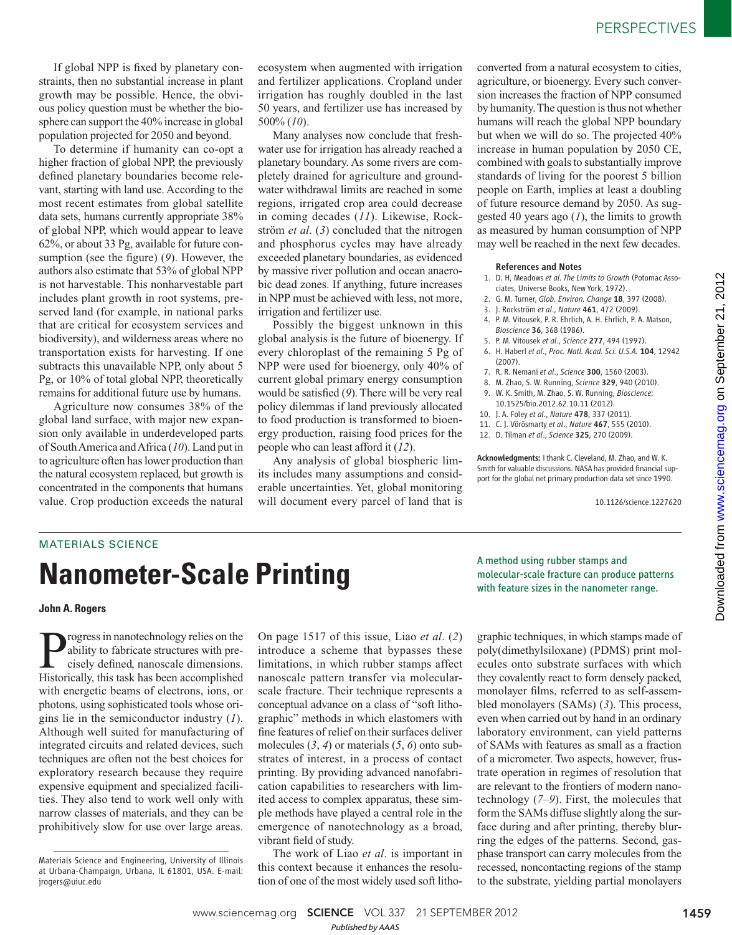If global NPP is fixed by planetary constraints, then no substantial increase in plant growth may be possible. Hence, the obvious policy question must be whether the biosphere can support the 40% increase in global population projected for 2050 and beyond.

To determine if humanity can co-opt a higher fraction of global NPP, the previously defined planetary boundaries become relevant, starting with land use. According to the most recent estimates from global satellite data sets, humans currently appropriate 38% of global NPP, which would appear to leave 62%, or about 33 Pg, available for future consumption (see the figure) (9). However, the authors also estimate that 53% of global NPP is not harvestable. This nonharvestable part includes plant growth in root systems, preserved land (for example, in national parks that are critical for ecosystem services and biodiversity), and wilderness areas where no transportation exists for harvesting. If one subtracts this unavailable NPP, only about 5 Pg, or 10% of total global NPP, theoretically remains for additional future use by humans.

Agriculture now consumes 38% of the global land surface, with major new expansion only available in underdeveloped parts of South America and Africa ( *10*). Land put in to agriculture often has lower production than the natural ecosystem replaced, but growth is concentrated in the components that humans value. Crop production exceeds the natural ecosystem when augmented with irrigation and fertilizer applications. Cropland under irrigation has roughly doubled in the last 50 years, and fertilizer use has increased by 500% ( *10*).

Many analyses now conclude that freshwater use for irrigation has already reached a planetary boundary. As some rivers are completely drained for agriculture and groundwater withdrawal limits are reached in some regions, irrigated crop area could decrease in coming decades (11). Likewise, Rockström *et al.* (3) concluded that the nitrogen and phosphorus cycles may have already exceeded planetary boundaries, as evidenced by massive river pollution and ocean anaerobic dead zones. If anything, future increases in NPP must be achieved with less, not more, irrigation and fertilizer use.

Possibly the biggest unknown in this global analysis is the future of bioenergy. If every chloroplast of the remaining 5 Pg of NPP were used for bioenergy, only 40% of current global primary energy consumption would be satisfied (9). There will be very real policy dilemmas if land previously allocated to food production is transformed to bioenergy production, raising food prices for the people who can least afford it ( *12*).

Any analysis of global biospheric limits includes many assumptions and considerable uncertainties. Yet, global monitoring will document every parcel of land that is

converted from a natural ecosystem to cities, agriculture, or bioenergy. Every such conversion increases the fraction of NPP consumed by humanity. The question is thus not whether humans will reach the global NPP boundary but when we will do so. The projected 40% increase in human population by 2050 CE, combined with goals to substantially improve standards of living for the poorest 5 billion people on Earth, implies at least a doubling of future resource demand by 2050. As suggested 40 years ago  $(1)$ , the limits to growth as measured by human consumption of NPP may well be reached in the next few decades.

#### References and Notes

- 1. D. H, Meadows *et al. The Limits to Growth* (Potomac Associates, Universe Books, New York, 1972).
- 2. G. M. Turner, *Glob. Environ. Change* 18, 397 (2008).
- 3. J. Rockström *et al*., *Nature* 461, 472 (2009).
- 4. P. M. Vitousek, P. R. Ehrlich, A. H. Ehrlich, P. A. Matson, *Bioscience* 36, 368 (1986).
- 5. P. M. Vitousek *et al*., *Science* 277, 494 (1997).
- 6. H. Haberl *et al*., *Proc. Natl. Acad. Sci. U.S.A.* 104, 12942 (2007).
- 7. R. R. Nemani *et al*., *Science* 300, 1560 (2003).
- 8. M. Zhao, S. W. Running, *Science* 329, 940 (2010). 9. W. K. Smith, M. Zhao, S. W. Running, *Bioscience*;
- 10.1525/bio.2012.62.10.11 (2012).
- 10. J. A. Foley *et al*., *Nature* 478, 337 (2011).
- 11. C. J. Vörösmarty *et al*., *Nature* 467, 555 (2010).
- 12. D. Tilman *et al*., *Science* 325, 270 (2009).

Acknowledgments: I thank C. Cleveland, M. Zhao, and W. K. Smith for valuable discussions. NASA has provided financial support for the global net primary production data set since 1990.

10.1126/science.1227620

### MATERIALS SCIENCE

# **Nanometer-Scale Printing**

#### **John A. Rogers**

rogress in nanotechnology relies on the ability to fabricate structures with precisely defined, nanoscale dimensions. Historically, this task has been accomplished with energetic beams of electrons, ions, or photons, using sophisticated tools whose origins lie in the semiconductor industry (*1*). Although well suited for manufacturing of integrated circuits and related devices, such techniques are often not the best choices for exploratory research because they require expensive equipment and specialized facilities. They also tend to work well only with narrow classes of materials, and they can be prohibitively slow for use over large areas.

On page 1517 of this issue, Liao *et al*. (*2*) introduce a scheme that bypasses these limitations, in which rubber stamps affect nanoscale pattern transfer via molecularscale fracture. Their technique represents a conceptual advance on a class of "soft lithographic" methods in which elastomers with fine features of relief on their surfaces deliver molecules (*3*, *4*) or materials (*5*, *6*) onto substrates of interest, in a process of contact printing. By providing advanced nanofabrication capabilities to researchers with limited access to complex apparatus, these simple methods have played a central role in the emergence of nanotechnology as a broad, vibrant field of study.

The work of Liao *et al*. is important in this context because it enhances the resolution of one of the most widely used soft lithoA method using rubber stamps and molecular-scale fracture can produce patterns with feature sizes in the nanometer range.

graphic techniques, in which stamps made of poly(dimethylsiloxane) (PDMS) print molecules onto substrate surfaces with which they covalently react to form densely packed, monolayer films, referred to as self-assembled monolayers (SAMs) (*3*). This process, even when carried out by hand in an ordinary laboratory environment, can yield patterns of SAMs with features as small as a fraction of a micrometer. Two aspects, however, frustrate operation in regimes of resolution that are relevant to the frontiers of modern nanotechnology  $(7-9)$ . First, the molecules that form the SAMs diffuse slightly along the surface during and after printing, thereby blurring the edges of the patterns. Second, gasphase transport can carry molecules from the recessed, noncontacting regions of the stamp to the substrate, yielding partial monolayers

Materials Science and Engineering, University of Illinois at Urbana-Champaign, Urbana, IL 61801, USA. E-mail: jrogers@uiuc.edu